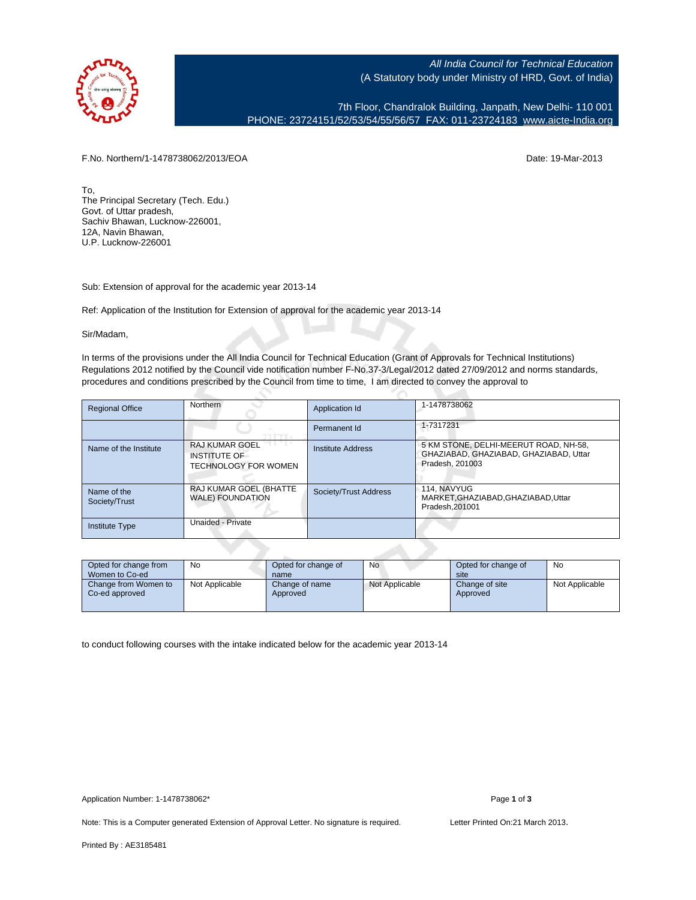

All India Council for Technical Education (A Statutory body under Ministry of HRD, Govt. of India)

7th Floor, Chandralok Building, Janpath, New Delhi- 110 001 PHONE: 23724151/52/53/54/55/56/57 FAX: 011-23724183 [www.aicte-India.org](http://www.aicte-India.org)

F.No. Northern/1-1478738062/2013/EOA Date: 19-Mar-2013

To, The Principal Secretary (Tech. Edu.) Govt. of Uttar pradesh, Sachiv Bhawan, Lucknow-226001, 12A, Navin Bhawan, U.P. Lucknow-226001

Sub: Extension of approval for the academic year 2013-14

Ref: Application of the Institution for Extension of approval for the academic year 2013-14

Sir/Madam,

In terms of the provisions under the All India Council for Technical Education (Grant of Approvals for Technical Institutions) Regulations 2012 notified by the Council vide notification number F-No.37-3/Legal/2012 dated 27/09/2012 and norms standards, procedures and conditions prescribed by the Council from time to time, I am directed to convey the approval to

| <b>Regional Office</b>       | Northern                                                             | Application Id        | 1-1478738062                                                                                       |
|------------------------------|----------------------------------------------------------------------|-----------------------|----------------------------------------------------------------------------------------------------|
|                              |                                                                      | Permanent Id          | 1-7317231                                                                                          |
| Name of the Institute        | <b>RAJ KUMAR GOEL</b><br><b>INSTITUTE OF</b><br>TECHNOLOGY FOR WOMEN | Institute Address     | 5 KM STONE, DELHI-MEERUT ROAD, NH-58,<br>GHAZIABAD, GHAZIABAD, GHAZIABAD, Uttar<br>Pradesh, 201003 |
| Name of the<br>Society/Trust | RAJ KUMAR GOEL (BHATTE<br><b>WALE) FOUNDATION</b>                    | Society/Trust Address | 114. NAVYUG<br>MARKET.GHAZIABAD.GHAZIABAD.Uttar<br>Pradesh.201001                                  |
| <b>Institute Type</b>        | Unaided - Private                                                    |                       |                                                                                                    |

| Opted for change from<br>Women to Co-ed | No             | Opted for change of<br>name | No             | Opted for change of<br>site | No             |
|-----------------------------------------|----------------|-----------------------------|----------------|-----------------------------|----------------|
| Change from Women to<br>Co-ed approved  | Not Applicable | Change of name<br>Approved  | Not Applicable | Change of site<br>Approved  | Not Applicable |

to conduct following courses with the intake indicated below for the academic year 2013-14

Note: This is a Computer generated Extension of Approval Letter. No signature is required. Letter Printed On:21 March 2013.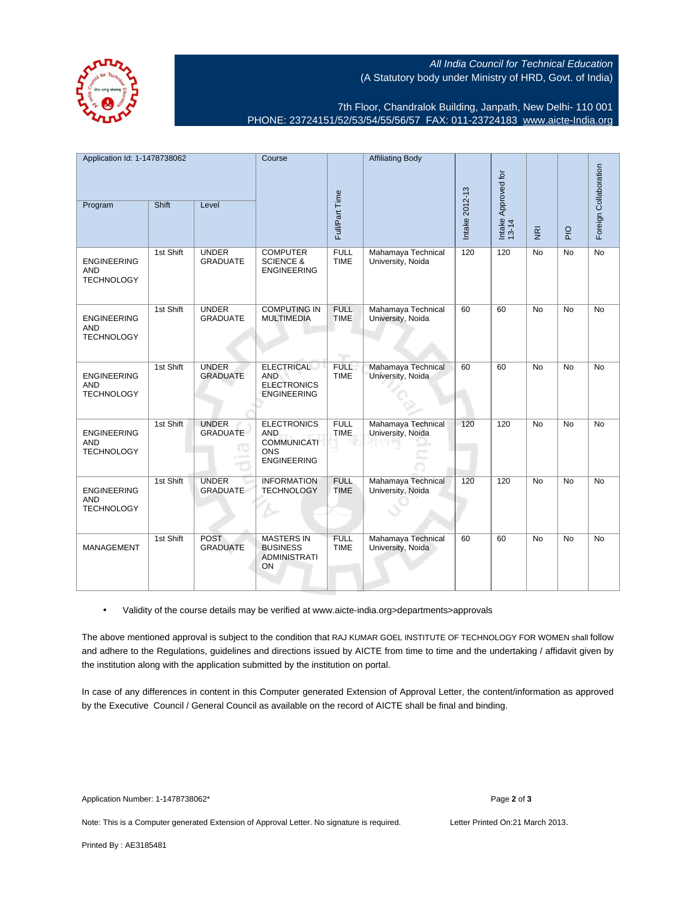All India Council for Technical Education (A Statutory body under Ministry of HRD, Govt. of India)

7th Floor, Chandralok Building, Janpath, New Delhi- 110 001 PHONE: 23724151/52/53/54/55/56/57 FAX: 011-23724183 [www.aicte-India.org](http://www.aicte-India.org)

| Application Id: 1-1478738062                          |           | Course                          |                                                                                            | <b>Affiliating Body</b>    |                                         |                |                              |                         |             |                       |
|-------------------------------------------------------|-----------|---------------------------------|--------------------------------------------------------------------------------------------|----------------------------|-----------------------------------------|----------------|------------------------------|-------------------------|-------------|-----------------------|
|                                                       |           |                                 |                                                                                            |                            |                                         |                |                              |                         |             |                       |
| Program                                               | Shift     | Level                           |                                                                                            | Full/Part Time             |                                         | Intake 2012-13 | Intake Approved for<br>13-14 | $\overline{\mathbf{g}}$ | $rac{Q}{4}$ | Foreign Collaboration |
| <b>ENGINEERING</b><br><b>AND</b><br><b>TECHNOLOGY</b> | 1st Shift | <b>UNDER</b><br><b>GRADUATE</b> | <b>COMPUTER</b><br><b>SCIENCE &amp;</b><br><b>ENGINEERING</b>                              | <b>FULL</b><br><b>TIME</b> | Mahamaya Technical<br>University, Noida | 120            | 120                          | No                      | No          | $\overline{No}$       |
| <b>ENGINEERING</b><br><b>AND</b><br><b>TECHNOLOGY</b> | 1st Shift | <b>UNDER</b><br><b>GRADUATE</b> | <b>COMPUTING IN</b><br><b>MULTIMEDIA</b>                                                   | <b>FULL</b><br><b>TIME</b> | Mahamaya Technical<br>University, Noida | 60             | 60                           | <b>No</b>               | <b>No</b>   | <b>No</b>             |
| <b>ENGINEERING</b><br><b>AND</b><br><b>TECHNOLOGY</b> | 1st Shift | <b>UNDER</b><br><b>GRADUATE</b> | <b>ELECTRICAL</b><br><b>AND</b><br><b>ELECTRONICS</b><br><b>ENGINEERING</b>                | <b>FULL</b><br><b>TIME</b> | Mahamaya Technical<br>University, Noida | 60             | 60                           | <b>No</b>               | <b>No</b>   | <b>No</b>             |
| <b>ENGINEERING</b><br><b>AND</b><br><b>TECHNOLOGY</b> | 1st Shift | <b>UNDER</b><br><b>GRADUATE</b> | <b>ELECTRONICS</b><br><b>AND</b><br><b>COMMUNICATI</b><br><b>ONS</b><br><b>ENGINEERING</b> | <b>FULL</b><br><b>TIME</b> | Mahamaya Technical<br>University, Noida | 120            | 120                          | <b>No</b>               | <b>No</b>   | <b>No</b>             |
| <b>ENGINEERING</b><br><b>AND</b><br><b>TECHNOLOGY</b> | 1st Shift | <b>UNDER</b><br><b>GRADUATE</b> | <b>INFORMATION</b><br><b>TECHNOLOGY</b>                                                    | <b>FULL</b><br><b>TIME</b> | Mahamaya Technical<br>University, Noida | 120            | 120                          | <b>No</b>               | <b>No</b>   | <b>No</b>             |
| MANAGEMENT                                            | 1st Shift | <b>POST</b><br><b>GRADUATE</b>  | <b>MASTERS IN</b><br><b>BUSINESS</b><br><b>ADMINISTRATI</b><br>ON                          | <b>FULL</b><br><b>TIME</b> | Mahamaya Technical<br>University, Noida | 60             | 60                           | <b>No</b>               | <b>No</b>   | <b>No</b>             |

• Validity of the course details may be verified at www.aicte-india.org>departments>approvals

The above mentioned approval is subject to the condition that RAJ KUMAR GOEL INSTITUTE OF TECHNOLOGY FOR WOMEN shall follow and adhere to the Regulations, guidelines and directions issued by AICTE from time to time and the undertaking / affidavit given by the institution along with the application submitted by the institution on portal.

In case of any differences in content in this Computer generated Extension of Approval Letter, the content/information as approved by the Executive Council / General Council as available on the record of AICTE shall be final and binding.

Note: This is a Computer generated Extension of Approval Letter. No signature is required. Letter Printed On:21 March 2013.